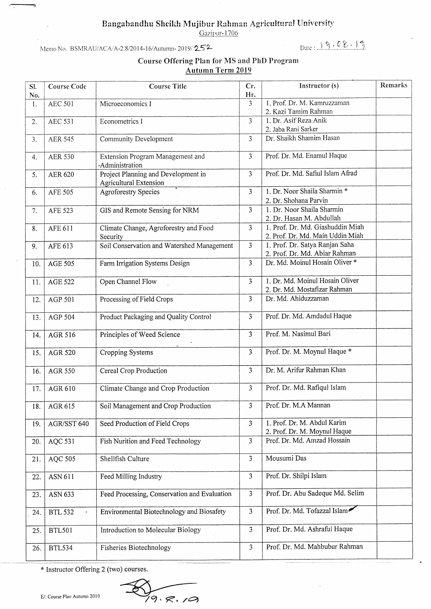## Bangabandhu Sheikh Mujibur Rahman Agricultural University

Gazipur-1706

Memo No. BSMRAU/ACA/A-2.8/2014-16/Autumn-2019/252

## Date: 19.08.15

## **Course Offering Plan for MS and PhD Program Autumn Term 2019**

| SI.<br>No.       | <b>Course Code</b> | <b>Course Title</b>                                                  | Cr.<br>Hr.              | Instructor (s)                                                       | Remarks |
|------------------|--------------------|----------------------------------------------------------------------|-------------------------|----------------------------------------------------------------------|---------|
| 1.               | <b>AEC 501</b>     | Microeconomics I                                                     | 3                       | 1. Prof. Dr. M. Kamruzzaman<br>2. Kazi Tamim Rahman                  |         |
| 2.               | <b>AEC 531</b>     | Econometrics I                                                       | 3                       | 1. Dr. Asif Reza Anik<br>2. Jaba Rani Sarker                         |         |
| 3.               | <b>AER 545</b>     | Community Development                                                | 3                       | Dr. Shaikh Shamim Hasan                                              |         |
| $\overline{4}$ . | <b>AER 530</b>     | Extension Program Management and<br>·Administration                  | $\overline{3}$          | Prof. Dr. Md. Enamul Haque                                           |         |
| 5.               | <b>AER 620</b>     | Project Planning and Development in<br><b>Agricultural Extension</b> | $\overline{3}$          | Prof. Dr. Md. Safiul Islam Afrad                                     |         |
| 6.               | <b>AFE 505</b>     | <b>Agroforestry Species</b>                                          | 3                       | 1. Dr. Noor Shaila Sharmin *<br>2. Dr. Shohana Parvin                |         |
| 7.               | AFE 523            | GIS and Remote Sensing for NRM                                       | 3                       | 1. Dr. Noor Shaila Sharmin<br>2. Dr. Hasan M. Abdullah               |         |
| 8.               | AFE 611            | Climate Change, Agroforestry and Food<br>Security                    | 3                       | 1. Prof. Dr. Md. Giashuddin Miah<br>2. Prof. Dr. Md. Main Uddin Miah |         |
| 9.               | AFE 613            | Soil Conservation and Watershed Management                           | $\overline{3}$          | 1. Prof. Dr. Satya Ranjan Saha<br>2. Prof. Dr. Md. Abiar Rahman      |         |
| 10.              | <b>AGE 505</b>     | Farm Irrigation Systems Design                                       | 3                       | Dr. Md. Moinul Hosain Oliver *                                       |         |
| 11.              | <b>AGE 522</b>     | Open Channel Flow                                                    | 3                       | 1. Dr. Md. Moinul Hosain Oliver<br>2. Dr. Md. Mostafizar Rahman      |         |
| 12.              | AGP 501            | Processing of Field Crops                                            | 3                       | Dr. Md. Ahiduzzaman                                                  |         |
| 13.              | AGP 504            | Product Packaging and Quality Control                                | $\overline{3}$          | Prof. Dr. Md. Amdadul Haque                                          |         |
| 14.              | AGR 516            | Principles of Weed Science                                           | $\overline{\mathbf{3}}$ | Prof. M. Nasimul Bari                                                |         |
| 15.              | <b>AGR 520</b>     | Cropping Systems                                                     | 3                       | Prof. Dr. M. Moynul Haque *                                          |         |
| 16.              | <b>AGR 550</b>     | Cereal Crop Production                                               | 3                       | Dr. M. Arifur Rahman Khan                                            |         |
| 17.              | AGR 610            | Climate Change and Crop Production                                   | 3                       | Prof. Dr. Md. Rafiqul Islam                                          |         |
| 18.              | AGR 615            | Soil Management and Crop Production                                  | 3                       | Prof. Dr. M.A Mannan                                                 |         |
| 19.              | AGR/SST 640        | Seed Production of Field Crops                                       | 3                       | 1. Prof. Dr. M. Abdul Karim<br>2. Prof. Dr. M. Moynul Haque          |         |
| 20.              | AQC 531            | Fish Nurition and Feed Technology                                    | $\overline{3}$          | Prof. Dr. Md. Amzad Hossain                                          |         |
| 21.              | AQC 505            | Shellfish Culture                                                    | 3                       | Mousumi Das                                                          |         |
| 22.              | ASN 611            | Feed Milling Industry                                                | 3                       | Prof. Dr. Shilpi Islam                                               |         |
| 23.              | ASN 633            | Feed Processing, Conservation and Evaluation                         | 3                       | Prof. Dr. Abu Sadeque Md. Selim                                      |         |
| 24.              | <b>BTL 532</b>     | Environmental Biotechnology and Biosafety                            | 3                       | Prof. Dr. Md. Tofazzal Islam                                         |         |
| 25.              | <b>BTL501</b>      | Introduction to Molecular Biology                                    | $\overline{3}$          | Prof. Dr. Md. Ashraful Haque                                         |         |
| 26.              | <b>BTL534</b>      | Fisheries Biotechnology                                              | $\overline{\mathbf{3}}$ | Prof. Dr. Md. Mahbubur Rahman                                        |         |

\* Instructor Offering 2 (two) courses.

 $79.8.79$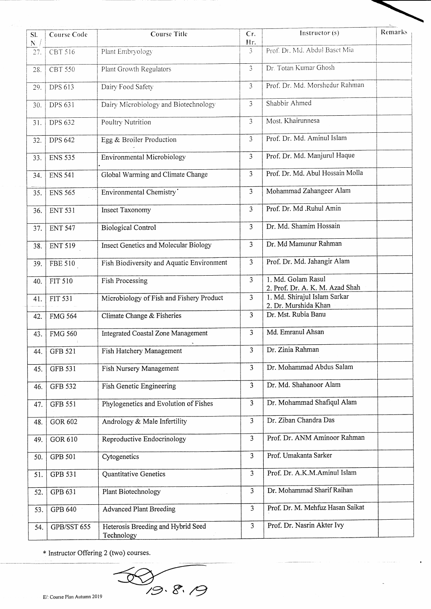| SI.<br>$\mathbf{N}(\cdot)$ | Course Code    | <b>Course Title</b>                              | Cr.<br>Hr.     | Instructor (s)                                        | Remarks |
|----------------------------|----------------|--------------------------------------------------|----------------|-------------------------------------------------------|---------|
| 27.                        | CBT 516        | Plant Embryology                                 | 3              | Prof. Dr. Md. Abdul Baset Mia                         |         |
| 28.                        | <b>CBT 550</b> | Plant Growth Regulators                          | 3              | Dr. Totan Kumar Ghosh                                 |         |
| 29.                        | DPS 613        | Dairy Food Safety                                | 3              | Prof. Dr. Md. Morshedur Rahman                        |         |
| 30.                        | DPS 631        | Dairy Microbiology and Biotechnology             | $\mathfrak{Z}$ | Shabbir Ahmed                                         |         |
| 31.                        | <b>DPS 632</b> | Poultry Nutrition                                | 3              | Most. Khairunnesa                                     |         |
| 32.                        | <b>DPS 642</b> | Egg & Broiler Production                         | 3              | Prof. Dr. Md. Aminul Islam                            |         |
| 33.                        | <b>ENS 535</b> | <b>Environmental Microbiology</b>                | 3              | Prof. Dr. Md. Manjurul Haque                          |         |
| 34.                        | <b>ENS 541</b> | Global Warming and Climate Change                | 3              | Prof. Dr. Md. Abul Hossain Molla                      |         |
| 35.                        | <b>ENS 565</b> | Environmental Chemistry'                         | 3              | Mohammad Zahangeer Alam                               |         |
| 36.                        | <b>ENT 531</b> | Insect Taxonomy                                  | 3              | Prof. Dr. Md .Ruhul Amin                              |         |
| 37.                        | <b>ENT 547</b> | <b>Biological Control</b>                        | 3              | Dr. Md. Shamim Hossain                                |         |
| 38.                        | <b>ENT 519</b> | Insect Genetics and Molecular Biology            | 3              | Dr. Md Mamunur Rahman                                 |         |
| 39.                        | <b>FBE 510</b> | Fish Biodiversity and Aquatic Environment        | 3              | Prof. Dr. Md. Jahangir Alam                           |         |
| 40.                        | <b>FIT 510</b> | Fish Processing                                  | 3              | 1. Md. Golam Rasul<br>2. Prof. Dr. A. K. M. Azad Shah |         |
| 41.                        | FIT 531        | Microbiology of Fish and Fishery Product         | 3              | 1. Md. Shirajul Islam Sarkar<br>2. Dr. Murshida Khan  |         |
| 42.                        | <b>FMG 564</b> | Climate Change & Fisheries                       | 3              | Dr. Mst. Rubia Banu                                   |         |
| 43.                        | <b>FMG 560</b> | Integrated Coastal Zone Management               | 3              | Md. Emranul Ahsan                                     |         |
| 44.                        | <b>GFB 521</b> | Fish Hatchery Management                         | $\overline{3}$ | Dr. Zinia Rahman                                      |         |
| 45.                        | <b>GFB 531</b> | Fish Nursery Management                          | 3              | Dr. Mohammad Abdus Salam                              |         |
| 46.                        | <b>GFB 532</b> | Fish Genetic Engineering                         | 3              | Dr. Md. Shahanoor Alam                                |         |
| 47.                        | <b>GFB 551</b> | Phylogenetics and Evolution of Fishes            | 3              | Dr. Mohammad Shafiqul Alam                            |         |
| 48.                        | GOR 602        | Andrology & Male Infertility                     | $\overline{3}$ | Dr. Ziban Chandra Das                                 |         |
| 49.                        | GOR 610        | Reproductive Endocrinology                       | $\overline{3}$ | Prof. Dr. ANM Aminoor Rahman                          |         |
| 50.                        | GPB 501        | Cytogenetics                                     | 3              | Prof. Umakanta Sarker                                 |         |
| 51.                        | GPB 531        | Quantitative Genetics                            | $\overline{3}$ | Prof. Dr. A.K.M.Aminul Islam                          |         |
| 52.                        | GPB 631        | Plant Biotechnology                              | $\overline{3}$ | Dr. Mohammad Sharif Raihan                            |         |
| 53.                        | GPB 640        | <b>Advanced Plant Breeding</b>                   | 3              | Prof. Dr. M. Mehfuz Hasan Saikat                      |         |
| 54.                        | GPB/SST 655    | Heterosis Breeding and Hybrid Seed<br>Technology | 3              | Prof. Dr. Nasrin Akter Ivy                            |         |

 $\bullet$ 

\* Instructor Offering 2 (two) courses.

D<br>19.8.19  $\left(\right)$